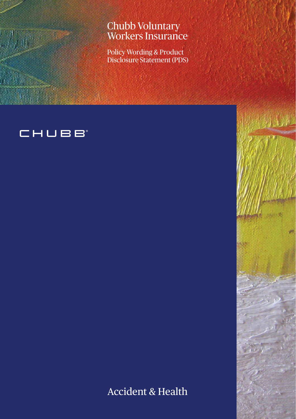## Chubb Voluntary Workers Insurance

Policy Wording & Product Disclosure Statement (PDS)

# CHUBB

Accident & Health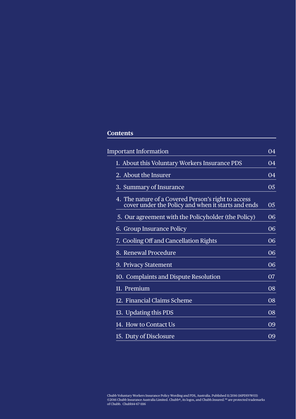## **Contents**

| <b>Important Information</b>                                                                              | 04        |
|-----------------------------------------------------------------------------------------------------------|-----------|
| 1. About this Voluntary Workers Insurance PDS                                                             | 04        |
| 2. About the Insurer                                                                                      | 04        |
| 3. Summary of Insurance                                                                                   | 05        |
| 4. The nature of a Covered Person's right to access<br>cover under the Policy and when it starts and ends | 05        |
| 5. Our agreement with the Policyholder (the Policy)                                                       | 06        |
| 6. Group Insurance Policy                                                                                 | 06        |
| 7. Cooling Off and Cancellation Rights                                                                    | 06        |
| 8. Renewal Procedure                                                                                      | 06        |
| 9. Privacy Statement                                                                                      | 06        |
| 10. Complaints and Dispute Resolution                                                                     | <b>O7</b> |
| 11. Premium                                                                                               | 08        |
| 12. Financial Claims Scheme                                                                               | 08        |
| 13. Updating this PDS                                                                                     | 08        |
| 14. How to Contact Us                                                                                     | 09        |
| 15. Duty of Disclosure                                                                                    | 09        |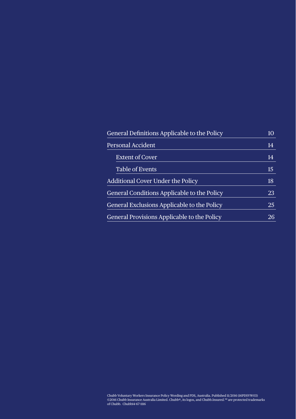| General Definitions Applicable to the Policy | 10 |
|----------------------------------------------|----|
| <b>Personal Accident</b>                     |    |
| <b>Extent of Cover</b>                       | 14 |
| <b>Table of Events</b>                       | 15 |
| Additional Cover Under the Policy            | 18 |
| General Conditions Applicable to the Policy  | 23 |
| General Exclusions Applicable to the Policy  | 25 |
| General Provisions Applicable to the Policy  | 26 |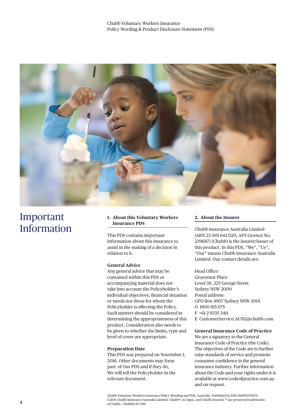

## Important Information

#### **1. About this Voluntary Workers Insurance PDS**

This PDS contains important information about this insurance to assist in the making of a decision in relation to it.

#### **General Advice**

Any general advice that may be contained within this PDS or accompanying material does not take into account the Policyholder's individual objectives, financial situation or needs nor those for whom the Policyholder is effecting the Policy. Such matters should be considered in determining the appropriateness of this product. Consideration also needs to be given to whether the limits, type and level of cover are appropriate.

#### **Preparation Date**

This PDS was prepared on November 1, 2016. Other documents may form part of Our PDS and if they do, We will tell the Policyholder in the relevant document.

#### **2. About the Insurer**

Chubb Insurance Australia Limited (ABN 23 001 642 020, AFS Licence No. 239687) (Chubb) is the insurer/issuer of this product. In this PDS, "We", "Us", "Our" means Chubb Insurance Australia Limited. Our contact details are:

#### Head Office:

Grosvenor Place Level 38, 225 George Street Sydney NSW 2000 Postal address: GPO Box 4907 Sydney NSW 2001 O 1800 815 675 F +61 2 9335 3411 E CustomerService.AUNZ@chubb.com

#### **General Insurance Code of Practice**

We are a signatory to the General Insurance Code of Practice (the Code). The objectives of the Code are to further raise standards of service and promote consumer confidence in the general insurance industry. Further information about the Code and your rights under it is available at www.codeofpractice.com.au and on request.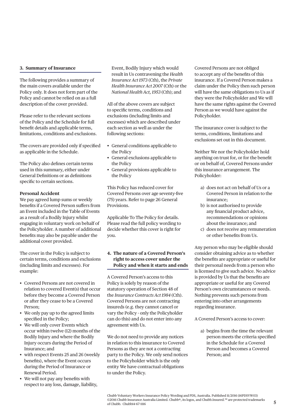The following provides a summary of the main covers available under the Policy only. It does not form part of the Policy and cannot be relied on as a full description of the cover provided.

Please refer to the relevant sections of the Policy and the Schedule for full benefit details and applicable terms, limitations, conditions and exclusions.

The covers are provided only if specified as applicable in the Schedule.

The Policy also defines certain terms used in this summary, either under General Definitions or as definitions specific to certain sections.

#### **Personal Accident**

3. **Summary of Insurance**<br>
Freshlubring provides a summary of<br>
The following provides a summary of<br>
the main covers available under the<br>
Platitical material in Use contering part of the contering and cannot be relied on a We pay agreed lump sums or weekly benefits if a Covered Person suffers from an Event included in the Table of Events as a result of a Bodily Injury whilst engaging in voluntary work on behalf of the Policyholder. A number of additional benefits may also be payable under the additional cover provided.

The cover in the Policy is subject to certain terms, conditions and exclusions (including limits and excesses). For example:

- Covered Persons are not covered in relation to covered Event(s) that occur before they become a Covered Person or after they cease to be a Covered Person;
- We only pay up to the agreed limits specified in the Policy;
- We will only cover Events which occur within twelve (12) months of the Bodily Injury and where the Bodily Injury occurs during the Period of Insurance; and
- with respect Events 25 and 26 (weekly benefits), where the Event occurs during the Period of Insurance or Renewal Period.
- We will not pay any benefits with respect to any loss, damage, liability,

Event, Bodily Injury which would result in Us contravening the *Health Insurance Act 1973* (Cth), the *Private Health Insurance Act 2007* (Cth) or the *National Health Act, 1953* (Cth); and

All of the above covers are subject to specific terms, conditions and exclusions (including limits and excesses) which are described under each section as well as under the following sections:

- General conditions applicable to the Policy
- General exclusions applicable to the Policy
- General provisions applicable to the Policy

This Policy has reduced cover for Covered Persons over age seventy-five (75) years. Refer to page 26 General Provisions.

Applicable To The Policy for details. Please read the full policy wording to decide whether this cover is right for you.

#### **4. The nature of a Covered Person's right to access cover under the Policy and when it starts and ends**

A Covered Person's access to this Policy is solely by reason of the statutory operation of Section 48 of the *Insurance Contracts Act 1984* (Cth). Covered Persons are not contracting insureds (e.g. they cannot cancel or vary the Policy - only the Policyholder can do this) and do not enter into any agreement with Us.

We do not need to provide any notices in relation to this insurance to Covered Persons as they are not a contracting party to the Policy. We only send notices to the Policyholder which is the only entity We have contractual obligations to under the Policy.

Covered Persons are not obliged to accept any of the benefits of this insurance. If a Covered Person makes a claim under the Policy then such person will have the same obligations to Us as if they were the Policyholder and We will have the same rights against the Covered Person as we would have against the Policyholder.

The insurance cover is subject to the terms, conditions, limitations and exclusions set out in this document.

Neither We nor the Policyholder hold anything on trust for, or for the benefit or on behalf of, Covered Persons under this insurance arrangement. The Policyholder:

- a) does not act on behalf of Us or a Covered Person in relation to the insurance;
- b) is not authorised to provide any financial product advice, recommendations or opinions about the insurance; and
- c) does not receive any remuneration or other benefits from Us.

Any person who may be eligible should consider obtaining advice as to whether the benefits are appropriate or useful for their personal needs from a person who is licensed to give such advice. No advice is provided by Us that the benefits are appropriate or useful for any Covered Person's own circumstances or needs. Nothing prevents such persons from entering into other arrangements regarding insurance.

A Covered Person's access to cover:

a) begins from the time the relevant person meets the criteria specified in the Schedule for a Covered Person and becomes a Covered Person; and

Chubb Voluntary Workers Insurance Policy Wording and PDS, Australia. Published 11/2016 (16PDSVW03) ©2016 Chubb Insurance Australia Limited. Chubb®, its logos, and Chubb.Insured.<sup>SM</sup> are protected trademarks of Chubb. Chubb14-67-1116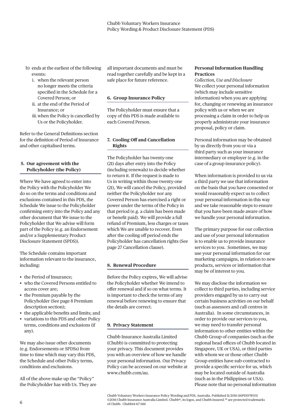- b) ends at the earliest of the following events:
	- i. when the relevant person no longer meets the criteria specified in the Schedule for a Covered Person; or
	- ii. at the end of the Period of Insurance; or
	- iii. when the Policy is cancelled by Us or the Policyholder.

Refer to the General Definitions section for the definition of Period of Insurance and other capitalised terms.

#### **5. Our agreement with the Policyholder (the Policy)**

Where We have agreed to enter into the Policy with the Policyholder We do so on the terms and conditions and exclusions contained in this PDS, the Schedule We issue to the Policyholder confirming entry into the Policy and any other document that We issue to the Policyholder that We advise will form part of the Policy (e.g. an Endorsement and/or a Supplementary Product Disclosure Statement (SPDS)).

The Schedule contains important information relevant to the insurance, including:

- the Period of Insurance;
- who the Covered Persons entitled to access cover are;
- the Premium payable by the Policyholder (See page 8 Premium description section);
- the applicable benefits and limits; and
- variations to this PDS and other Policy terms, conditions and exclusions (if any).

We may also issue other documents (e.g. Endorsements or SPDSs) from time to time which may vary this PDS, the Schedule and other Policy terms, conditions and exclusions.

All of the above make up the "Policy" the Policyholder has with Us. They are all important documents and must be read together carefully and be kept in a safe place for future reference.

#### **6. Group Insurance Policy**

The Policyholder must ensure that a copy of this PDS is made available to each Covered Person.

#### **7. Cooling Off and Cancellation Rights**

The Policyholder has twenty-one (21) days after entry into the Policy (including renewals) to decide whether to return it. If the request is made to Us in writing within those twenty-one (21), We will cancel the Policy, provided neither the Policyholder nor any Covered Person has exercised a right or power under the terms of the Policy in that period (e.g. a claim has been made or benefit paid). We will provide a full refund of Premium, less charges or taxes which We are unable to recover. Even after the cooling off period ends the Policyholder has cancellation rights (See page 27 Cancellation clause).

#### **8. Renewal Procedure**

Before the Policy expires, We will advise the Policyholder whether We intend to offer renewal and if so on what terms. It is important to check the terms of any renewal before renewing to ensure that the details are correct.

#### **9. Privacy Statement**

Chubb Insurance Australia Limited (Chubb) is committed to protecting your privacy. This document provides you with an overview of how we handle your personal information. Our Privacy Policy can be accessed on our website at www.chubb.com/au.

#### **Personal Information Handling Practices**

*Collection, Use and Disclosure* We collect your personal information (which may include sensitive information) when you are applying for, changing or renewing an insurance policy with us or when we are processing a claim in order to help us properly administrate your insurance proposal, policy or claim.

Personal information may be obtained by us directly from you or via a third party such as your insurance intermediary or employer (e.g. in the case of a group insurance policy).

When information is provided to us via a third party we use that information on the basis that you have consented or would reasonably expect us to collect your personal information in this way and we take reasonable steps to ensure that you have been made aware of how we handle your personal information.

The primary purpose for our collection and use of your personal information is to enable us to provide insurance services to you. Sometimes, we may use your personal information for our marketing campaigns, in relation to new products, services or information that may be of interest to you.

We may disclose the information we collect to third parties, including service providers engaged by us to carry out certain business activities on our behalf (such as assessors and call centres in Australia). In some circumstances, in order to provide our services to you, we may need to transfer personal information to other entities within the Chubb Group of companies (such as the regional head offices of Chubb located in Singapore, UK or USA), or third parties with whom we or those other Chubb Group entities have sub-contracted to provide a specific service for us, which may be located outside of Australia (such as in the Philippines or USA). Please note that no personal information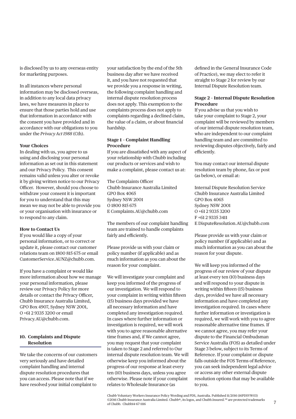is disclosed by us to any overseas entity for marketing purposes.

In all instances where personal information may be disclosed overseas, in addition to any local data privacy laws, we have measures in place to ensure that those parties hold and use that information in accordance with the consent you have provided and in accordance with our obligations to you under the *Privacy Act 1988* (Cth).

#### **Your Choices**

In dealing with us, you agree to us using and disclosing your personal information as set out in this statement and our Privacy Policy. This consent remains valid unless you alter or revoke it by giving written notice to our Privacy Officer. However, should you choose to withdraw your consent it is important for you to understand that this may mean we may not be able to provide you or your organisation with insurance or to respond to any claim.

#### **How to Contact Us**

If you would like a copy of your personal information, or to correct or update it, please contact our customer relations team on 1800 815 675 or email CustomerService.AUNZ@chubb.com.

If you have a complaint or would like more information about how we manage your personal information, please review our Privacy Policy for more details or contact the Privacy Officer, Chubb Insurance Australia Limited, GPO Box 4907, Sydney NSW 2001, O +61 2 9335 3200 or email Privacy.AU@chubb.com.

#### **10. Complaints and Dispute Resolution**

We take the concerns of our customers very seriously and have detailed complaint handling and internal dispute resolution procedures that you can access. Please note that if we have resolved your initial complaint to

your satisfaction by the end of the 5th business day after we have received it, and you have not requested that we provide you a response in writing, the following complaint handling and internal dispute resolution process does not apply. This exemption to the complaints process does not apply to complaints regarding a declined claim, the value of a claim, or about financial hardship.

#### **Stage 1 – Complaint Handling Procedure**

If you are dissatisfied with any aspect of your relationship with Chubb including our products or services and wish to make a complaint, please contact us at:

The Complaints Officer Chubb Insurance Australia Limited GPO Box 4065 Sydney NSW 2001 O 1800 815 675 E Complaints.AU@chubb.com

The members of our complaint handling team are trained to handle complaints fairly and efficiently.

Please provide us with your claim or policy number (if applicable) and as much information as you can about the reason for your complaint.

We will investigate your complaint and keep you informed of the progress of our investigation. We will respond to your complaint in writing within fifteen (15) business days provided we have all necessary information and have completed any investigation required. In cases where further information or investigation is required, we will work with you to agree reasonable alternative time frames and, if We cannot agree, you may request that your complaint is taken to Stage 2 and referred to Our internal dispute resolution team. We will otherwise keep you informed about the progress of our response at least every ten (10) business days, unless you agree otherwise. Please note if your complaint relates to Wholesale Insurance (as

defined in the General Insurance Code of Practice), we may elect to refer it straight to Stage 2 for review by our Internal Dispute Resolution team.

#### **Stage 2 – Internal Dispute Resolution Procedure**

If you advise us that you wish to take your complaint to Stage 2, your complaint will be reviewed by members of our internal dispute resolution team, who are independent to our complaint handling team and are committed to reviewing disputes objectively, fairly and efficiently.

You may contact our internal dispute resolution team by phone, fax or post (as below), or email at:

Internal Dispute Resolution Service Chubb Insurance Australia Limited GPO Box 4065 Sydney NSW 2001 O +61 2 9335 3200 F +61 2 9335 3411 E DisputeResolution.AU@chubb.com

Please provide us with your claim or policy number (if applicable) and as much information as you can about the reason for your dispute.

We will keep you informed of the progress of our review of your dispute at least every ten (10) business days and will respond to your dispute in writing within fifteen (15) business days, provided we have all necessary information and have completed any investigation required. In cases where further information or investigation is required, we will work with you to agree reasonable alternative time frames. If we cannot agree, you may refer your dispute to the Financial Ombudsman Service Australia (FOS) as detailed under Stage 3 below, subject to its Terms of Reference. If your complaint or dispute falls outside the FOS Terms of Reference, you can seek independent legal advice or access any other external dispute resolution options that may be available to you.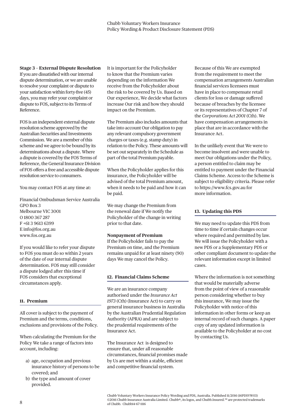**Stage 3 – External Dispute Resolution** If you are dissatisfied with our internal dispute determination, or we are unable to resolve your complaint or dispute to your satisfaction within forty-five (45) days, you may refer your complaint or dispute to FOS, subject to its Terms of Reference.

FOS is an independent external dispute resolution scheme approved by the Australian Securities and Investments Commission. We are a member of this scheme and we agree to be bound by its determinations about a dispute. Where a dispute is covered by the FOS Terms of Reference, the General Insurance Division of FOS offers a free and accessible dispute resolution service to consumers.

You may contact FOS at any time at:

Financial Ombudsman Service Australia GPO Box 3 Melbourne VIC 3001 O 1800 367 287 F +61 3 9613 6399 E info@fos.org.au www.fos.org.au

If you would like to refer your dispute to FOS you must do so within 2 years of the date of our internal dispute determination. FOS may still consider a dispute lodged after this time if FOS considers that exceptional circumstances apply.

#### **11. Premium**

All cover is subject to the payment of Premium and the terms, conditions, exclusions and provisions of the Policy.

When calculating the Premium for the Policy We take a range of factors into account, including:

- a) age, occupation and previous insurance history of persons to be covered; and
- b) the type and amount of cover provided.

It is important for the Policyholder to know that the Premium varies depending on the information We receive from the Policyholder about the risk to be covered by Us. Based on Our experience, We decide what factors increase Our risk and how they should impact on the Premium.

The Premium also includes amounts that take into account Our obligation to pay any relevant compulsory government charges or taxes (e.g. stamp duty) in relation to the Policy. These amounts will be set out separately in the Schedule as part of the total Premium payable.

When the Policyholder applies for this insurance, the Policyholder will be advised of the total Premium amount, when it needs to be paid and how it can be paid.

We may change the Premium from the renewal date if We notify the Policyholder of the change in writing prior to that date.

#### **Nonpayment of Premium**

If the Policyholder fails to pay the Premium on time, and the Premium remains unpaid for at least ninety (90) days We may cancel the Policy.

#### **12. Financial Claims Scheme**

We are an insurance company authorised under the *Insurance Act 1973* (Cth) (Insurance Act) to carry on general insurance business in Australia by the Australian Prudential Regulation Authority (APRA) and are subject to the prudential requirements of the Insurance Act.

The Insurance Act is designed to ensure that, under all reasonable circumstances, financial promises made by Us are met within a stable, efficient and competitive financial system.

Because of this We are exempted from the requirement to meet the compensation arrangements Australian financial services licensees must have in place to compensate retail clients for loss or damage suffered because of breaches by the licensee or its representatives of Chapter 7 of the *Corporations Act 2001* (Cth). We have compensation arrangements in place that are in accordance with the Insurance Act.

In the unlikely event that We were to become insolvent and were unable to meet Our obligations under the Policy, a person entitled to claim may be entitled to payment under the Financial Claims Scheme. Access to the Scheme is subject to eligibility criteria. Please refer to https://www.fcs.gov.au for more information.

#### **13. Updating this PDS**

We may need to update this PDS from time to time if certain changes occur where required and permitted by law. We will issue the Policyholder with a new PDS or a Supplementary PDS or other compliant document to update the relevant information except in limited cases.

Where the information is not something that would be materially adverse from the point of view of a reasonable person considering whether to buy this insurance, We may issue the Policyholder with notice of this information in other forms or keep an internal record of such changes. A paper copy of any updated information is available to the Policyholder at no cost by contacting Us.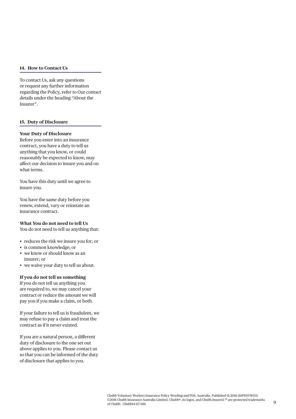#### **14. How to Contact Us**

To contact Us, ask any questions or request any further information regarding the Policy, refer to Our contact details under the heading "About the Insurer".

#### **15. Duty of Disclosure**

#### **Your Duty of Disclosure**

Before you enter into an insurance contract, you have a duty to tell us anything that you know, or could reasonably be expected to know, may affect our decision to insure you and on what terms.

You have this duty until we agree to insure you.

You have the same duty before you renew, extend, vary or reinstate an insurance contract.

#### **What You do not need to tell Us**

You do not need to tell us anything that:

- reduces the risk we insure you for; or
- is common knowledge; or
- we know or should know as an insurer; or
- we waive your duty to tell us about.

#### **If you do not tell us something**

If you do not tell us anything you are required to, we may cancel your contract or reduce the amount we will pay you if you make a claim, or both.

If your failure to tell us is fraudulent, we may refuse to pay a claim and treat the contract as if it never existed.

If you are a natural person, a different duty of disclosure to the one set out above applies to you. Please contact us so that you can be informed of the duty of disclosure that applies to you.

9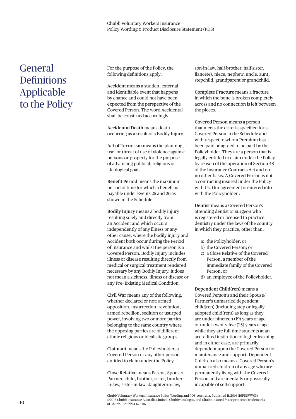# **Definitions** Applicable to the Policy

For the purpose of the Policy, the following definitions apply:

**Accident** means a sudden, external and identifiable event that happens by chance and could not have been expected from the perspective of the Covered Person. The word Accidental shall be construed accordingly.

**Accidental Death** means death occurring as a result of a Bodily Injury.

**Act of Terrorism** means the planning, use, or threat of use of violence against persons or property for the purpose of advancing political, religious or ideological goals.

**Benefit Period** means the maximum period of time for which a benefit is payable under Events 25 and 26 as shown in the Schedule.

General<br>
For the purpose of following definitions<br>  $\Delta$  accident means as<br>
and identifiable every change of the policy<br>
transfer of converd reson . To<br>
covered reson the is shall be construed on the shall be construed and<br> **Bodily Injury** means a bodily injury resulting solely and directly from an Accident and which occurs independently of any illness or any other cause, where the bodily injury and Accident both occur during the Period of Insurance and whilst the person is a Covered Person. Bodily Injury includes illness or disease resulting directly from medical or surgical treatment rendered necessary by any Bodily Injury. It does not mean a sickness, illness or disease or any Pre- Existing Medical Condition.

**Civil War** means any of the following, whether declared or not: armed opposition, insurrection, revolution, armed rebellion, sedition or usurped power, involving two or more parties belonging to the same country where the opposing parties are of different ethnic religious or idealistic groups.

**Claimant** means the Policyholder, a Covered Person or any other person entitled to claim under the Policy.

**Close Relative** means Parent, Spouse/ Partner, child, brother, sister, brotherin-law, sister-in-law, daughter-in-law,

son-in-law, half-brother, half-sister, fiancé(e), niece, nephew, uncle, aunt, stepchild, grandparent or grandchild.

**Complete Fracture** means a fracture in which the bone is broken completely across and no connection is left between the pieces.

**Covered Person** means a person that meets the criteria specified for a Covered Person in the Schedule and with respect to whom Premium has been paid or agreed to be paid by the Policyholder. They are a person that is legally entitled to claim under the Policy by reason of the operation of Section 48 of the Insurance Contracts Act and on no other basis. A Covered Person is not a contracting insured under the Policy with Us. Our agreement is entered into with the Policyholder .

**Dentist** means a Covered Person's attending dentist or surgeon who is registered or licensed to practice dentistry under the laws of the country in which they practice, other than:

- a) the Policyholder; or
- b) the Covered Person; or
- c) a Close Relative of the Covered Person, a member of the immediate family of the Covered Person; or
- d) an employee of the Policyholder.

**Dependent Child(ren)** means a Covered Person's and their Spouse/ Partner's unmarried dependent child(ren) (including step or legally adopted child(ren)) as long as they are under nineteen (19) years of age or under twenty-five (25) years of age while they are full-time students at an accredited institution of higher learning and in either case, are primarily dependent upon the Covered Person for maintenance and support. Dependent Children also means a Covered Person's unmarried children of any age who are permanently living with the Covered Person and are mentally or physically incapable of self-support.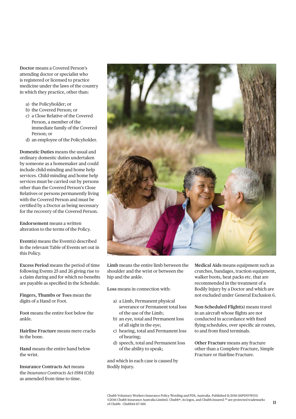attending doctor or specialist who is registered or licensed to practice medicine under the laws of the country in which they practice, other than:

- a) the Policyholder; or
- b) the Covered Person; or
- c) a Close Relative of the Covered Person, a member of the immediate family of the Covered Person; or
- d) an employee of the Policyholder.

**Domestic Duties** means the usual and ordinary domestic duties undertaken by someone as a homemaker and could include child-minding and home help services. Child-minding and home help services must be carried out by persons other than the Covered Person's Close Relatives or persons permanently living with the Covered Person and must be certified by a Doctor as being necessary for the recovery of the Covered Person.

**Endorsement** means a written alteration to the terms of the Policy.

**Event(s)** means the Event(s) described in the relevant Table of Events set out in this Policy.

**Excess Period** means the period of time following Events 25 and 26 giving rise to a claim during and for which no benefits are payable as specified in the Schedule.

**Fingers, Thumbs or Toes** mean the digits of a Hand or Foot.

**Foot** means the entire foot below the ankle.

**Hairline Fracture** means mere cracks in the bone.

**Hand** means the entire hand below the wrist.

**Insurance Contracts Act** means the *Insurance Contracts Act 1984* (Cth) as amended from time to time.



**Limb** means the entire limb between the shoulder and the wrist or between the hip and the ankle.

**Loss** means in connection with:

- a) a Limb, Permanent physical severance or Permanent total loss of the use of the Limb;
- b) an eye, total and Permanent loss of all sight in the eye;
- c) hearing, total and Permanent loss of hearing;
- d) speech, total and Permanent loss of the ability to speak;

and which in each case is caused by Bodily Injury.

**Medical Aids** means equipment such as crutches, bandages, traction equipment, walker boots, heat packs etc. that are recommended in the treatment of a Bodily Injury by a Doctor and which are not excluded under General Exclusion 6.

**Non-Scheduled Flight(s**) means travel in an aircraft whose flights are not conducted in accordance with fixed flying schedules, over specific air routes, to and from fixed terminals.

**Other Fracture** means any fracture other than a Complete Fracture, Simple Fracture or Hairline Fracture.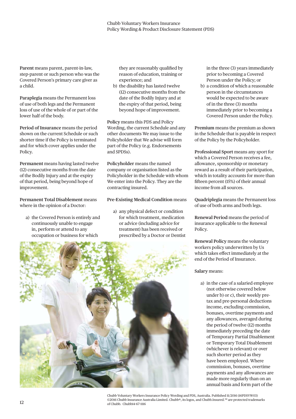**Parent** means parent, parent-in-law, step-parent or such person who was the Covered Person's primary care giver as a child.

**Paraplegia** means the Permanent loss of use of both legs and the Permanent loss of use of the whole of or part of the lower half of the body.

**Period of Insurance** means the period shown on the current Schedule or such shorter time if the Policy is terminated and for which cover applies under the Policy.

**Permanent** means having lasted twelve (12) consecutive months from the date of the Bodily Injury and at the expiry of that period, being beyond hope of improvement.

**Permanent Total Disablement** means where in the opinion of a Doctor:

a) the Covered Person is entirely and continuously unable to engage in, perform or attend to any occupation or business for which

they are reasonably qualified by reason of education, training or experience; and

b) the disability has lasted twelve (12) consecutive months from the date of the Bodily Injury and at the expiry of that period, being beyond hope of improvement.

**Policy** means this PDS and Policy Wording, the current Schedule and any other documents We may issue to the Policyholder that We advise will form part of the Policy (e.g. Endorsements and SPDSs).

**Policyholder** means the named company or organisation listed as the Policyholder in the Schedule with whom We enter into the Policy. They are the contracting insured.

**Pre-Existing Medical Condition** means

a) any physical defect or condition for which treatment, medication or advice (including advice for treatment) has been received or prescribed by a Doctor or Dentist in the three (3) years immediately prior to becoming a Covered Person under the Policy; or

b) a condition of which a reasonable person in the circumstances would be expected to be aware of in the three (3) months immediately prior to becoming a Covered Person under the Policy.

**Premium** means the premium as shown in the Schedule that is payable in respect of the Policy by the Policyholder.

**Professional Sport** means any sport for which a Covered Person receives a fee, allowance, sponsorship or monetary reward as a result of their participation, which in totality accounts for more than fifteen percent (15%) of their annual income from all sources.

**Quadriplegia** means the Permanent loss of use of both arms and both legs.

**Renewal Period** means the period of insurance applicable to the Renewal Policy.

**Renewal Policy** means the voluntary workers policy underwritten by Us which takes effect immediately at the end of the Period of Insurance.

#### **Salary** means:

a) in the case of a salaried employee (not otherwise covered below under b) or c), their weekly pretax and pre-personal deductions income, excluding commission, bonuses, overtime payments and any allowances, averaged during the period of twelve (12) months immediately preceding the date of Temporary Partial Disablement or Temporary Total Disablement (whichever is relevant) or over such shorter period as they have been employed. Where commission, bonuses, overtime payments and any allowances are made more regularly than on an annual basis and form part of the



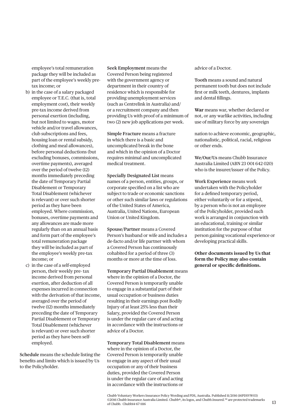employee's total remuneration package they will be included as part of the employee's weekly pretax income; or

- b) in the case of a salary packaged employee or T.E.C. (that is, total employment cost), their weekly pre-tax income derived from personal exertion (including, but not limited to wages, motor vehicle and/or travel allowances, club subscriptions and fees, housing loan or rental subsidy, clothing and meal allowances), before personal deductions (but excluding bonuses, commissions, overtime payments), averaged over the period of twelve (12) months immediately preceding the date of Temporary Partial Disablement or Temporary Total Disablement (whichever is relevant) or over such shorter period as they have been employed. Where commission, bonuses, overtime payments and any allowances are made more regularly than on an annual basis and form part of the employee's total remuneration package they will be included as part of the employee's weekly pre-tax income; or
- c) in the case of a self-employed person, their weekly pre- tax income derived from personal exertion, after deduction of all expenses incurred in connection with the derivation of that income, averaged over the period of twelve (12) months immediately preceding the date of Temporary Partial Disablement or Temporary Total Disablement (whichever is relevant) or over such shorter period as they have been selfemployed.

**Schedule** means the schedule listing the benefits and limits which is issued by Us to the Policyholder.

**Seek Employment** means the Covered Person being registered with the government agency or department in their country of residence which is responsible for providing unemployment services (such as Centrelink in Australia) and/ or a recruitment company and then providing Us with proof of a minimum of two (2) new job applications per week.

**Simple Fracture** means a fracture in which there is a basic and uncomplicated break in the bone and which in the opinion of a Doctor requires minimal and uncomplicated medical treatment.

**Specially Designated List** means names of a person, entities, groups, or corporate specified on a list who are subject to trade or economic sanctions or other such similar laws or regulations of the United States of America, Australia, United Nations, European Union or United Kingdom.

**Spouse/Partner** means a Covered Person's husband or wife and includes a de-facto and/or life partner with whom a Covered Person has continuously cohabited for a period of three (3) months or more at the time of loss.

**Temporary Partial Disablement** means where in the opinion of a Doctor, the Covered Person is temporarily unable to engage in a substantial part of their usual occupation or business duties resulting in their earnings post Bodily Injury of at least 25% less than their Salary, provided the Covered Person is under the regular care of and acting in accordance with the instructions or advice of a Doctor.

**Temporary Total Disablement** means where in the opinion of a Doctor, the Covered Person is temporarily unable to engage in any aspect of their usual occupation or any of their business duties, provided the Covered Person is under the regular care of and acting in accordance with the instructions or

advice of a Doctor.

**Tooth** means a sound and natural permanent tooth but does not include first or milk teeth, dentures, implants and dental fillings.

**War** means war, whether declared or not, or any warlike activities, including use of military force by any sovereign

nation to achieve economic, geographic, nationalistic, political, racial, religious or other ends.

**We/Our/Us** means Chubb Insurance Australia Limited (ABN 23 001 642 020) who is the insurer/issuer of the Policy.

**Work Experience** means work undertaken with the Policyholder for a defined temporary period, either voluntarily or for a stipend, by a person who is not an employee of the Policyholder, provided such work is arranged in conjunction with an educational, training or similar institution for the purpose of that person gaining vocational experience or developing practical skills.

**Other documents issued by Us that form the Policy may also contain**  general or specific definitions.

Chubb Voluntary Workers Insurance Policy Wording and PDS, Australia. Published 11/2016 (16PDSVW03) ©2016 Chubb Insurance Australia Limited. Chubb®, its logos, and Chubb.Insured.<sup>SM</sup> are protected trademarks of Chubb. Chubb14-67-1116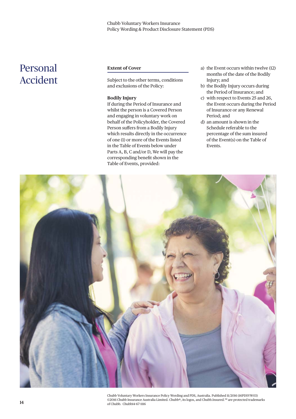# Accident

#### **Extent of Cover**

Subject to the other terms, conditions and exclusions of the Policy:

#### **Bodily Injury**

If during the Period of Insurance and whilst the person is a Covered Person and engaging in voluntary work on behalf of the Policyholder, the Covered Person suffers from a Bodily Injury which results directly in the occurrence of one (1) or more of the Events listed in the Table of Events below under Parts A, B, C and/or D, We will pay the corresponding benefit shown in the Table of Events, provided:

- a) the Event occurs within twelve (12) months of the date of the Bodily Injury; and
- b) the Bodily Injury occurs during the Period of Insurance; and
- c) with respect to Events 25 and 26, the Event occurs during the Period of Insurance or any Renewal Period; and
- d) an amount is shown in the Schedule referable to the percentage of the sum insured of the Event(s) on the Table of Events.



Chubb Voluntary Workers Insurance Policy Wording and PDS, Australia. Published 11/2016 (16PDSVW03) ©2016 Chubb Insurance Australia Limited. Chubb®, its logos, and Chubb.Insured.SM are protected trademarks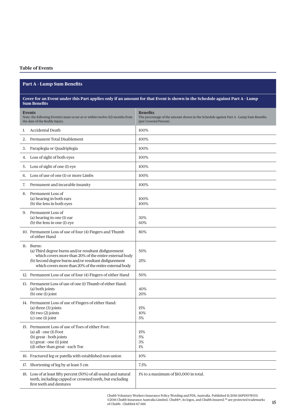#### **Part A - Lump Sum Benefits**

#### **Cover for an Event under this Part applies only if an amount for that Event is shown in the Schedule against Part A - Lump Sum Benefits**

|    | <b>Part A - Lump Sum Benefits</b>                                                                                                                                                                                                                 |                                                                                                                                   |  |
|----|---------------------------------------------------------------------------------------------------------------------------------------------------------------------------------------------------------------------------------------------------|-----------------------------------------------------------------------------------------------------------------------------------|--|
|    |                                                                                                                                                                                                                                                   |                                                                                                                                   |  |
|    | <b>Sum Benefits</b>                                                                                                                                                                                                                               | Cover for an Event under this Part applies only if an amount for that Event is shown in the Schedule against Part A - Lump        |  |
|    | Events<br>Note: the following Event(s) must occur at or within twelve (12) months from<br>the date of the Bodily Injury.                                                                                                                          | <b>Benefits</b><br>The percentage of the amount shown in the Schedule against Part A - Lump Sum Benefits<br>(per Covered Person). |  |
| 1. | Accidental Death                                                                                                                                                                                                                                  | 100%                                                                                                                              |  |
| 2. | Permanent Total Disablement                                                                                                                                                                                                                       | 100%                                                                                                                              |  |
| 3. | Paraplegia or Quadriplegia                                                                                                                                                                                                                        | 100%                                                                                                                              |  |
|    | 4. Loss of sight of both eyes                                                                                                                                                                                                                     | 100%                                                                                                                              |  |
| 5. | Loss of sight of one (1) eye                                                                                                                                                                                                                      | 100%                                                                                                                              |  |
| 6. | Loss of use of one (1) or more Limbs                                                                                                                                                                                                              | 100%                                                                                                                              |  |
| 7. | Permanent and incurable insanity                                                                                                                                                                                                                  | 100%                                                                                                                              |  |
| 8. | Permanent Loss of<br>(a) hearing in both ears<br>(b) the lens in both eyes                                                                                                                                                                        | 100%<br>100%                                                                                                                      |  |
| 9. | Permanent Loss of<br>(a) hearing in one (1) ear<br>(b) the lens in one (1) eye                                                                                                                                                                    | 30%<br>60%                                                                                                                        |  |
|    | 10. Permanent Loss of use of four (4) Fingers and Thumb<br>of either Hand                                                                                                                                                                         | 80%                                                                                                                               |  |
|    | 11. Burns:<br>(a) Third degree burns and/or resultant disfigurement<br>which covers more than 20% of the entire external body<br>(b) Second degree burns and/or resultant disfigurement<br>which covers more than 20% of the entire external body | 50%<br>25%                                                                                                                        |  |
|    | 12. Permanent Loss of use of four (4) Fingers of either Hand                                                                                                                                                                                      | 50%                                                                                                                               |  |
|    | 13. Permanent Loss of use of one (1) Thumb of either Hand:<br>(a) both joints<br>$(b)$ one $(1)$ joint                                                                                                                                            | 40%<br>20%                                                                                                                        |  |
|    | 14. Permanent Loss of use of Fingers of either Hand:<br>$(a)$ three $(3)$ joints<br>$(b)$ two $(2)$ joints<br>$(c)$ one $(1)$ joint                                                                                                               | 15%<br>10%<br>$5\%$                                                                                                               |  |
|    | 15. Permanent Loss of use of Toes of either Foot:<br>$(a)$ all - one $(1)$ Foot<br>(b) great - both joints<br>$(c)$ great - one $(1)$ joint<br>(d) other than great - each Toe                                                                    | 15%<br>5%<br>$3\%$<br>$1\%$                                                                                                       |  |
|    | 16. Fractured leg or patella with established non-union                                                                                                                                                                                           | 10%                                                                                                                               |  |
|    | 17. Shortening of leg by at least 5 cm                                                                                                                                                                                                            | 7.5%                                                                                                                              |  |
|    | 18. Loss of at least fifty percent (50%) of all sound and natural<br>teeth, including capped or crowned teeth, but excluding<br>first teeth and dentures                                                                                          | 1% to a maximum of \$10,000 in total.                                                                                             |  |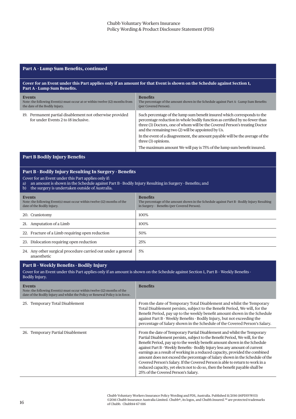#### **Part A - Lump Sum Benefits, continued**

#### **Cover for an Event under this Part applies only if an amount for that Event is shown on the Schedule against Section 1,**  Part A - Lump Sum Benefits.

| <b>Events</b><br>Note: the following Event(s) must occur at or within twelve (12) months from<br>the date of the Bodily Injury. | <b>Benefits</b><br>The percentage of the amount shown in the Schedule against Part A - Lump Sum Benefits<br>(per Covered Person).                                                                                                                                                            |
|---------------------------------------------------------------------------------------------------------------------------------|----------------------------------------------------------------------------------------------------------------------------------------------------------------------------------------------------------------------------------------------------------------------------------------------|
| 19. Permanent partial disablement not otherwise provided<br>for under Events 2 to 18 inclusive.                                 | Such percentage of the lump sum benefit insured which corresponds to the<br>percentage reduction in whole bodily function as certified by no fewer than<br>three (3) Doctors, one of whom will be the Covered Person's treating Doctor<br>and the remaining two (2) will be appointed by Us. |
|                                                                                                                                 | In the event of a disagreement, the amount payable will be the average of the<br>three (3) opinions.                                                                                                                                                                                         |
|                                                                                                                                 | The maximum amount We will pay is 75% of the lump sum benefit insured.                                                                                                                                                                                                                       |

#### **Part B Bodily Injury Benefits**

#### Part B - Bodily Injury Resulting In Surgery - Benefits

Cover for an Event under this Part applies only if:

- a) an amount is shown in the Schedule against Part B Bodily Injury Resulting in Surgery Benefits; and
- b) the surgery is undertaken outside of Australia.

| <b>Events</b><br>Note: the following Event(s) must occur within twelve (12) months of the<br>date of the Bodily Injury. | <b>Benefits</b><br>The percentage of the amount shown in the Schedule against Part B - Bodily Injury Resulting<br>in Surgery - Benefits (per Covered Person). |
|-------------------------------------------------------------------------------------------------------------------------|---------------------------------------------------------------------------------------------------------------------------------------------------------------|
| 20. Craniotomy                                                                                                          | 100%                                                                                                                                                          |
| 21. Amputation of a Limb                                                                                                | 100%                                                                                                                                                          |
| 22. Fracture of a Limb requiring open reduction                                                                         | 50%                                                                                                                                                           |
| 23. Dislocation requiring open reduction                                                                                | 25%                                                                                                                                                           |
| 24. Any other surgical procedure carried out under a general<br>anaesthetic                                             | 5%                                                                                                                                                            |

#### Part B - Weekly Benefits - Bodily Injury

Cover for an Event under this Part applies only if an amount is shown on the Schedule against Section 1, Part B - Weekly Benefits -Bodily Injury.

| <b>Events</b><br>Note: the following Event(s) must occur within twelve (12) months of the<br>date of the Bodily Injury and whilst the Policy or Renewal Policy is in force. | <b>Benefits</b>                                                                                                                                                                                                                                                                                                                                                                                                                                                                                                                                                                                                                                                                              |
|-----------------------------------------------------------------------------------------------------------------------------------------------------------------------------|----------------------------------------------------------------------------------------------------------------------------------------------------------------------------------------------------------------------------------------------------------------------------------------------------------------------------------------------------------------------------------------------------------------------------------------------------------------------------------------------------------------------------------------------------------------------------------------------------------------------------------------------------------------------------------------------|
| Temporary Total Disablement<br>25.                                                                                                                                          | From the date of Temporary Total Disablement and whilst the Temporary<br>Total Disablement persists, subject to the Benefit Period, We will, for the<br>Benefit Period, pay up to the weekly benefit amount shown in the Schedule<br>against Part B - Weekly Benefits - Bodily Injury, but not exceeding the<br>percentage of Salary shown in the Schedule of the Covered Person's Salary.                                                                                                                                                                                                                                                                                                   |
| Temporary Partial Disablement<br>26.                                                                                                                                        | From the date of Temporary Partial Disablement and whilst the Temporary<br>Partial Disablement persists, subject to the Benefit Period, We will, for the<br>Benefit Period, pay up to the weekly benefit amount shown in the Schedule<br>against Part B - Weekly Benefits - Bodily Injury less any amount of current<br>earnings as a result of working in a reduced capacity, provided the combined<br>amount does not exceed the percentage of Salary shown in the Schedule of the<br>Covered Person's Salary. If the Covered Person is able to return to work in a<br>reduced capacity, yet elects not to do so, then the benefit payable shall be<br>25% of the Covered Person's Salary. |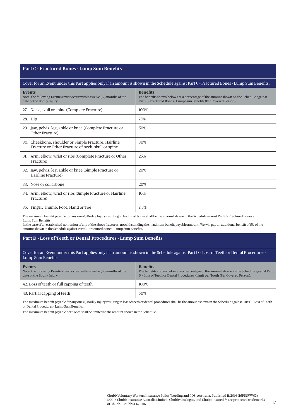#### **Part C - Fractured Bones - Lump Sum Benefits**

#### Cover for an Event under this Part applies only if an amount is shown in the Schedule against Part C - Fractured Bones - Lump Sum Benefits.

| <b>Events</b><br>Note: the following Event(s) must occur within twelve (12) months of the<br>date of the Bodily Injury. | <b>Benefits</b><br>The benefits shown below are a percentage of the amount shown on the Schedule against<br>Part C - Fractured Bones - Lump Sum Benefits (Per Covered Person). |
|-------------------------------------------------------------------------------------------------------------------------|--------------------------------------------------------------------------------------------------------------------------------------------------------------------------------|
| 27. Neck, skull or spine (Complete Fracture)                                                                            | 100%                                                                                                                                                                           |
| 28. Hip                                                                                                                 | 75%                                                                                                                                                                            |
| 29. Jaw, pelvis, leg, ankle or knee (Complete Fracture or<br>Other Fracture)                                            | 50%                                                                                                                                                                            |
| 30. Cheekbone, shoulder or Simple Fracture, Hairline<br>Fracture or Other Fracture of neck, skull or spine              | 30%                                                                                                                                                                            |
| 31. Arm, elbow, wrist or ribs (Complete Fracture or Other<br>Fracture)                                                  | 25%                                                                                                                                                                            |
| 32. Jaw, pelvis, leg, ankle or knee (Simple Fracture or<br>Hairline Fracture)                                           | 20%                                                                                                                                                                            |
| 33. Nose or collarbone                                                                                                  | 20%                                                                                                                                                                            |
| 34. Arm, elbow, wrist or ribs (Simple Fracture or Hairline<br>Fracture)                                                 | 10%                                                                                                                                                                            |
| 35. Finger, Thumb, Foot, Hand or Toe                                                                                    | 7.5%                                                                                                                                                                           |

The maximum benefit payable for any one (1) Bodily Injury resulting in fractured bones shall be the amount shown in the Schedule against Part C - Fractured Bones -Lump Sum Benefits.

In the case of an established non-union of any of the above fractures, notwithstanding the maximum benefi t payable amount, We will pay an additional benefi t of 5% of the amount shown in the Schedule against Part C - Fractured Bones - Lump Sum Benefits.

#### **Part D - Loss of Teeth or Dental Procedures - Lump Sum Benefits**

Cover for an Event under this Part applies only if an amount is shown in the Schedule against Part D – Loss of Teeth or Dental Procedures - Lump Sum Benefits.

| Events<br>Note: the following Event(s) must occur within twelve (12) months of the<br>date of the Bodily Injury. | <b>Benefits</b><br>The benefits shown below are a percentage of the amount shown in the Schedule against Part<br>D - Loss of Teeth or Dental Procedures - Limit per Tooth (Per Covered Person). |
|------------------------------------------------------------------------------------------------------------------|-------------------------------------------------------------------------------------------------------------------------------------------------------------------------------------------------|
| 42. Loss of teeth or full capping of teeth                                                                       | 100%                                                                                                                                                                                            |
| 43. Partial capping of teeth                                                                                     | 50%                                                                                                                                                                                             |

The maximum benefit payable for any one (1) Bodily Injury resulting in loss of teeth or dental procedures shall be the amount shown in the Schedule against Part D - Loss of Teeth or Dental Procedures - Lump Sum Benefits.

The maximum benefit payable per Tooth shall be limited to the amount shown in the Schedule.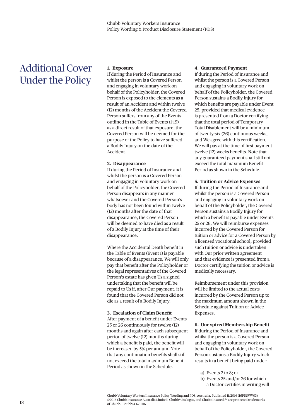## Additional Cover Under the Policy

#### **1. Exposure**

If during the Period of Insurance and whilst the person is a Covered Person and engaging in voluntary work on behalf of the Policyholder, the Covered Person is exposed to the elements as a result of an Accident and within twelve (12) months of the Accident the Covered Person suffers from any of the Events outlined in the Table of Events (1-19) as a direct result of that exposure, the Covered Person will be deemed for the purpose of the Policy to have suffered a Bodily Injury on the date of the Accident.

#### **2. Disappearance**

If during the Period of Insurance and whilst the person is a Covered Person and engaging in voluntary work on behalf of the Policyholder, the Covered Person disappears in any manner whatsoever and the Covered Person's body has not been found within twelve (12) months after the date of that disappearance, the Covered Person will be deemed to have died as a result of a Bodily Injury at the time of their disappearance.

Where the Accidental Death benefit in the Table of Events (Event 1) is payable because of a disappearance, We will only pay that benefit after the Policyholder or the legal representatives of the Covered Person's estate has given Us a signed undertaking that the benefit will be repaid to Us if, after Our payment, it is found that the Covered Person did not die as a result of a Bodily Injury.

#### **3. Escalation of Claim Benefit**

After payment of a benefit under Events 25 or 26 continuously for twelve (12) months and again after each subsequent period of twelve (12) months during which a benefit is paid, the benefit will be increased by 5% per annum. Note that any continuation benefits shall still not exceed the total maximum Benefit Period as shown in the Schedule.

#### **4. Guaranteed Payment**

If during the Period of Insurance and whilst the person is a Covered Person and engaging in voluntary work on behalf of the Policyholder, the Covered Person sustains a Bodily Injury for which benefits are payable under Event 25, provided that medical evidence is presented from a Doctor certifying that the total period of Temporary Total Disablement will be a minimum of twenty-six (26) continuous weeks, and We agree with this certification. We will pay at the time of first payment twelve (12) weeks benefits. Note that any guaranteed payment shall still not exceed the total maximum Benefit Period as shown in the Schedule.

#### **5. Tuition or Advice Expenses**

If during the Period of Insurance and whilst the person is a Covered Person and engaging in voluntary work on behalf of the Policyholder, the Covered Person sustains a Bodily Injury for which a benefit is payable under Events 25 or 26, We will reimburse expenses incurred by the Covered Person for tuition or advice for a Covered Person by a licensed vocational school, provided such tuition or advice is undertaken with Our prior written agreement and that evidence is presented from a Doctor certifying the tuition or advice is medically necessary.

Reimbursement under this provision will be limited to the actual costs incurred by the Covered Person up to the maximum amount shown in the Schedule against Tuition or Advice Expenses.

**6. Unexpired Membership Benefit** If during the Period of Insurance and whilst the person is a Covered Person and engaging in voluntary work on behalf of the Policyholder, the Covered Person sustains a Bodily Injury which results in a benefit being paid under:

- a) Events 2 to 8; or
- b) Events 25 and/or 26 for which
	- a Doctor certifies in writing will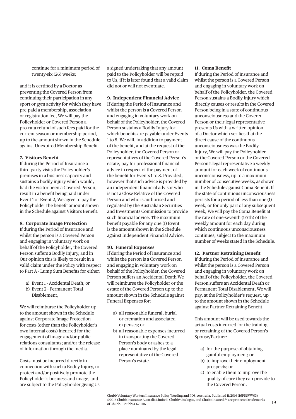continue for a minimum period of twenty-six (26) weeks;

and it is certified by a Doctor as preventing the Covered Person from continuing their participation in any sport or gym activity for which they have pre-paid a membership, association or registration fee, We will pay the Policyholder or Covered Person a pro-rata refund of such fees paid for the current season or membership period, up to the amount shown in the Schedule against Unexpired Membership Benefit.

#### **7. Visitors Benefi t**

If during the Period of Insurance a third party visits the Policyholder's premises in a business capacity and sustains a bodily injury which would, had the visitor been a Covered Person, result in a benefit being paid under Event 1 or Event 2, We agree to pay the Policyholder the benefit amount shown in the Schedule against Visitors Benefit.

#### **8. Corporate Image Protection**

If during the Period of Insurance and whilst the person is a Covered Person and engaging in voluntary work on behalf of the Policyholder, the Covered Person suffers a Bodily Injury, and in Our opinion this is likely to result in a valid claim under the Policy with respect to Part A - Lump Sum Benefits for either:

- a) Event 1 Accidental Death; or
- b) Event 2 Permanent Total Disablement,

We will reimburse the Policyholder up to the amount shown in the Schedule against Corporate Image Protection for costs (other than the Policyholder's own internal costs) incurred for the engagement of image and/or public relations consultants; and/or the release of information through the media.

Costs must be incurred directly in connection with such a Bodily Injury, to protect and/or positively promote the Policyholder's business and image, and are subject to the Policyholder giving Us a signed undertaking that any amount paid to the Policyholder will be repaid to Us, if it is later found that a valid claim did not or will not eventuate.

#### **9. Independent Financial Advice**

If during the Period of Insurance and whilst the person is a Covered Person and engaging in voluntary work on behalf of the Policyholder, the Covered Person sustains a Bodily Injury for which benefits are payable under Events 1 to 8, We will, in addition to payment of the benefit, and at the request of the Policyholder, the Covered Person or representatives of the Covered Person's estate, pay for professional financial advice in respect of the payment of the benefit for Events 1 to 8. Provided, however that such advice is provided by an independent financial advisor who is not a Close Relative of the Covered Person and who is authorised and regulated by the Australian Securities and Investments Commission to provide such financial advice. The maximum benefit payable for any one (1) Event is the amount shown in the Schedule against Independent Financial Advice.

#### **10. Funeral Expenses**

If during the Period of Insurance and whilst the person is a Covered Person and engaging in voluntary work on behalf of the Policyholder, the Covered Person suffers an Accidental Death We will reimburse the Policyholder or the estate of the Covered Person up to the amount shown in the Schedule against Funeral Expenses for:

- a) all reasonable funeral, burial or cremation and associated expenses; or
- b) all reasonable expenses incurred in transporting the Covered Person's body or ashes to a place nominated by the legal representative of the Covered Person's estate.

#### 11. Coma Benefit

If during the Period of Insurance and whilst the person is a Covered Person and engaging in voluntary work on behalf of the Policyholder, the Covered Person sustains a Bodily Injury which directly causes or results in the Covered Person being in a state of continuous unconsciousness and the Covered Person or their legal representative presents Us with a written opinion of a Doctor which verifies that the direct cause of the continuous unconsciousness was the Bodily Injury, We will pay the Policyholder or the Covered Person or the Covered Person's legal representative a weekly amount for each week of continuous unconsciousness, up to a maximum number of consecutive weeks, as shown in the Schedule against Coma Benefit. If the state of continuous unconsciousness persists for a period of less than one (1) week, or for only part of any subsequent week, We will pay the Coma Benefit at the rate of one-seventh (1/7th) of the weekly amount for each day during which continuous unconsciousness continues, subject to the maximum number of weeks stated in the Schedule.

#### **12. Partner Retraining Benefit**

If during the Period of Insurance and whilst the person is a Covered Person and engaging in voluntary work on behalf of the Policyholder, the Covered Person suffers an Accidental Death or Permanent Total Disablement, We will pay, at the Policyholder's request, up to the amount shown in the Schedule against Partner Retraining Benefit.

This amount will be used towards the actual costs incurred for the training or retraining of the Covered Person's Spouse/Partner:

- a) for the purpose of obtaining gainful employment; or
- b) to improve their employment prospects; or
- c) to enable them to improve the quality of care they can provide to the Covered Person.

Chubb Voluntary Workers Insurance Policy Wording and PDS, Australia. Published 11/2016 (16PDSVW03) ©2016 Chubb Insurance Australia Limited. Chubb®, its logos, and Chubb.Insured.<sup>SM</sup> are protected trademarks of Chubb. Chubb14-67-1116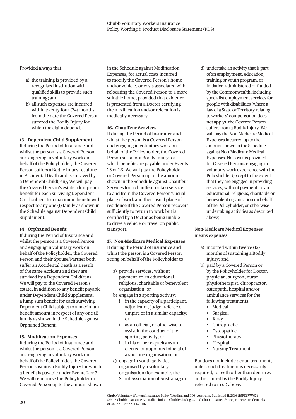Provided always that:

- a) the training is provided by a recognised institution with qualified skills to provide such training; and
- b) all such expenses are incurred within twenty-four (24) months from the date the Covered Person suffered the Bodily Injury for which the claim depends.

#### **13. Dependent Child Supplement**

If during the Period of Insurance and whilst the person is a Covered Person and engaging in voluntary work on behalf of the Policyholder, the Covered Person suffers a Bodily Injury resulting in Accidental Death and is survived by a Dependent Child(ren), We will pay the Covered Person's estate a lump sum benefit for each surviving Dependent Child subject to a maximum benefit with respect to any one (1) family as shown in the Schedule against Dependent Child Supplement.

#### **14. Orphaned Benefit**

If during the Period of Insurance and whilst the person is a Covered Person and engaging in voluntary work on behalf of the Policyholder, the Covered Person and their Spouse/Partner both suffer an Accidental Death as a result of the same Accident and they are survived by a Dependent Child(ren), We will pay to the Covered Person's estate, in addition to any benefit payable under Dependent Child Supplement, a lump sum benefit for each surviving Dependent Child subject to a maximum benefit amount in respect of any one (1) family as shown in the Schedule against Orphaned Benefit.

#### **15. Modification Expenses**

If during the Period of Insurance and whilst the person is a Covered Person and engaging in voluntary work on behalf of the Policyholder, the Covered Person sustains a Bodily Injury for which a benefit is payable under Events 2 or 3, We will reimburse the Policyholder or Covered Person up to the amount shown

in the Schedule against Modification Expenses, for actual costs incurred to modify the Covered Person's home and/or vehicle, or costs associated with relocating the Covered Person to a more suitable home, provided that evidence is presented from a Doctor certifying the modification and/or relocation is medically necessary.

#### **16. Chauffeur Services**

If during the Period of Insurance and whilst the person is a Covered Person and engaging in voluntary work on behalf of the Policyholder, the Covered Person sustains a Bodily Injury for which benefits are payable under Events 25 or 26, We will pay the Policyholder or Covered Person up to the amount shown in the Schedule against Chauffeur Services for a chauffeur or taxi service to and from the Covered Person's usual place of work and their usual place of residence if the Covered Person recovers sufficiently to return to work but is certified by a Doctor as being unable to drive a vehicle or travel on public transport.

**17. Non-Medicare Medical Expenses** If during the Period of Insurance and whilst the person is a Covered Person acting on behalf of the Policyholder to:

- a) provide services, without payment, to an educational, religious, charitable or benevolent organisation; or
- b) engage in a sporting activity:
	- i. in the capacity of a participant, adjudicator, judge, referee or umpire or in a similar capacity; or
	- ii. as an official, or otherwise to assist in the conduct of the sporting activity; or
	- iii. in his or her capacity as an elected or appointed official of a sporting organisation; or
- c) engage in youth activities organised by a voluntary organisation (for example, the Scout Association of Australia); or

d) undertake an activity that is part of an employment, education, training or youth program, or initiative, administered or funded by the Commonwealth, including specialist employment services for people with disabilities (where a law of a State or Territory relating to workers' compensation does not apply), the Covered Person suffers from a Bodily Injury, We will pay the Non-Medicare Medical Expenses incurred up to the amount shown in the Schedule against Non-Medicare Medical Expenses. No cover is provided for Covered Persons engaging in voluntary work experience with the Policyholder (except to the extent that they are engaged in providing services, without payment, to an educational, religious, charitable or benevolent organisation on behalf of the Policyholder, or otherwise undertaking activities as described above).

#### **Non-Medicare Medical Expenses** means expenses:

- a) incurred within twelve (12) months of sustaining a Bodily Injury; and
- b) paid by a Covered Person or by the Policyholder for Doctor, physician, surgeon, nurse, physiotherapist, chiropractor, osteopath, hospital and/or ambulance services for the following treatments:
	- Medical
	- **Surgical**
	- X-ray
	- Chiropractic
- Osteopathic
	- Physiotherapy
	- **Hospital**
	- Nursing Treatment

But does not include dental treatment, unless such treatment is necessarily required, to teeth other than dentures and is caused by the Bodily Injury referred to in (a) above.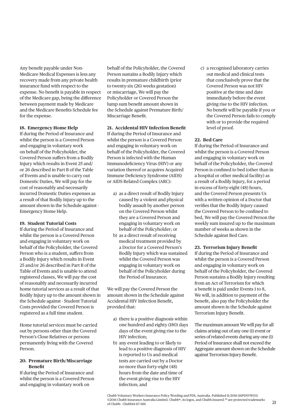Any benefit payable under Non-Medicare Medical Expenses is less any recovery made from any private health insurance fund with respect to the expense. No benefit is payable in respect of the Medicare gap, being the difference between payment made by Medicare and the Medicare Benefits Schedule fee for the expense.

#### **18. Emergency Home Help**

If during the Period of Insurance and whilst the person is a Covered Person and engaging in voluntary work on behalf of the Policyholder, the Covered Person suffers from a Bodily Injury which results in Event 25 and/ or 26 described in Part B of the Table of Events and is unable to carry out Domestic Duties, We will pay for the cost of reasonably and necessarily incurred Domestic Duties expenses as a result of that Bodily Injury up to the amount shown in the Schedule against - Emergency Home Help.

#### **19. Student Tutorial Costs**

If during the Period of Insurance and whilst the person is a Covered Person and engaging in voluntary work on behalf of the Policyholder, the Covered Person who is a student, suffers from a Bodily Injury which results in Event 25 and/or 26 described in Part B of the Table of Events and is unable to attend registered classes, We will pay the cost of reasonably and necessarily incurred home tutorial services as a result of that Bodily Injury up to the amount shown in the Schedule against - Student Tutorial Costs provided the Covered Person is registered as a full time student.

Home tutorial services must be carried out by persons other than the Covered Person's Close Relatives or persons permanently living with the Covered Person.

#### **20. Premature Birth/Miscarriage Benefi t**

If during the Period of Insurance and whilst the person is a Covered Person and engaging in voluntary work on

behalf of the Policyholder, the Covered Person sustains a Bodily Injury which results in premature childbirth (prior to twenty-six (26) weeks gestation) or miscarriage, We will pay the Policyholder or Covered Person the lump sum benefit amount shown in the Schedule against Premature Birth/ Miscarriage Benefit.

## **21. Accidental HIV Infection Benefit**

If during the Period of Insurance and whilst the person is a Covered Person and engaging in voluntary work on behalf of the Policyholder, the Covered Person is infected with the Human Immunodeficiency Virus (HIV) or any variation thereof or acquires Acquired Immune Deficiency Syndrome (AIDS) or AIDS Related Complex (ARC):

- a) as a direct result of Bodily Injury caused by a violent and physical bodily assault by another person on the Covered Person whilst they are a Covered Person and engaging in voluntary work on behalf of the Policyholder; or
- b) as a direct result of receiving medical treatment provided by a Doctor for a Covered Person's Bodily Injury which was sustained whilst the Covered Person was engaging in voluntary work on behalf of the Policyholder during the Period of Insurance;

We will pay the Covered Person the amount shown in the Schedule against Accidental HIV Infection Benefit, provided that:

- a) there is a positive diagnosis within one hundred and eighty (180) days days of the event giving rise to the HIV infection;
- b) any event leading to or likely to lead to a positive diagnosis of HIV is reported to Us and medical tests are carried out by a Doctor no more than forty-eight (48) hours from the date and time of the event giving rise to the HIV infection; and

c) a recognised laboratory carries out medical and clinical tests that conclusively prove that the Covered Person was not HIV positive at the time and date immediately before the event giving rise to the HIV infection. No benefit will be payable if you or the Covered Person fails to comply with or to provide the required level of proof.

#### **22. Bed Care**

If during the Period of Insurance and whilst the person is a Covered Person and engaging in voluntary work on behalf of the Policyholder, the Covered Person is confined to bed (other than in a hospital or other medical facility) as a result of a Bodily Injury, for a period in excess of forty-eight (48) hours, and the Covered Person presents Us with a written opinion of a Doctor that verifies that the Bodily Injury caused the Covered Person to be confined to bed, We will pay the Covered Person the weekly sum insured up to the maximum number of weeks as shown in the Schedule against Bed Care.

## **23. Terrorism Injury Benefit**

If during the Period of Insurance and whilst the person is a Covered Person and engaging in voluntary work on behalf of the Policyholder, the Covered Person sustains a Bodily Injury resulting from an Act of Terrorism for which a benefit is paid under Events 1 to 8, We will, in addition to payment of the benefit, also pay the Policyholder the amount shown in the Schedule against Terrorism Injury Benefit.

The maximum amount We will pay for all claims arising out of any one (1) event or series of related events during any one (1) Period of Insurance shall not exceed the Aggregate amount shown on the Schedule against Terrorism Injury Benefit.

Chubb Voluntary Workers Insurance Policy Wording and PDS, Australia. Published 11/2016 (16PDSVW03) ©2016 Chubb Insurance Australia Limited. Chubb®, its logos, and Chubb.Insured.<sup>SM</sup> are protected trademarks of Chubb. Chubb14-67-1116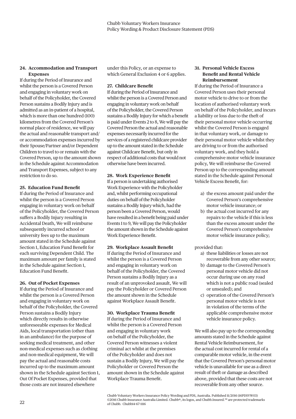#### **24. Accommodation and Transport Expenses**

If during the Period of Insurance and whilst the person is a Covered Person and engaging in voluntary work on behalf of the Policyholder, the Covered Person sustains a Bodily Injury and is admitted as an in-patient of a hospital, which is more than one hundred (100) kilometres from the Covered Person's normal place of residence, we will pay the actual and reasonable transport and/ or accommodation expenses incurred by their Spouse/Partner and/or Dependent Children to travel to or remain with the Covered Person, up to the amount shown in the Schedule against Accommodation and Transport Expenses, subject to any restriction to do so.

#### **25. Education Fund Benefit**

If during the Period of Insurance and whilst the person is a Covered Person engaging in voluntary work on behalf of the Policyholder, the Covered Person suffers a Bodily Injury resulting in Accidental Death, We will reimburse subsequently incurred school or university fees up to the maximum amount stated in the Schedule against Section 1, Education Fund Benefit for each surviving Dependent Child. The maximum amount per family is stated in the Schedule against Section 1, Education Fund Benefit.

#### **26. Out of Pocket Expenses**

If during the Period of Insurance and whilst the person is a Covered Person and engaging in voluntary work on behalf of the Policyholder, the Covered Person sustains a Bodily Injury which directly results in otherwise unforeseeable expenses for Medical Aids, local transportation (other than in an ambulance) for the purpose of seeking medical treatment, and other non-medical expenses such as clothing and non-medical equipment, We will pay the actual and reasonable costs incurred up to the maximum amount shown in the Schedule against Section 1, Out Of Pocket Expenses, provided that those costs are not insured elsewhere

under this Policy, or an expense to which General Exclusion 4 or 6 applies.

#### **27. Childcare Benefit**

If during the Period of Insurance and whilst the person is a Covered Person and engaging in voluntary work on behalf of the Policyholder, the Covered Person sustains a Bodily Injury for which a benefit is paid under Events 2 to 8, We will pay the Covered Person the actual and reasonable expenses necessarily incurred for the services of a registered childcare provider up to the amount stated in the Schedule against Childcare Benefit, but only in respect of additional costs that would not otherwise have been incurred.

#### **28. Work Experience Benefit**

If a person is undertaking authorised Work Experience with the Policyholder and, whilst performing occupational duties on behalf of the Policyholder sustains a Bodily Injury which, had the person been a Covered Person, would have resulted in a benefit being paid under Events 1 to 9, We will pay the Policyholder the amount shown in the Schedule against Work Experience Benefit.

#### **29. Workplace Assault Benefit**

If during the Period of Insurance and whilst the person is a Covered Person and engaging in voluntary work on behalf of the Policyholder, the Covered Person sustains a Bodily Injury as a result of an unprovoked assault, We will pay the Policyholder or Covered Person the amount shown in the Schedule against Workplace Assault Benefit.

#### **30. Workplace Trauma Benefit**

If during the Period of Insurance and whilst the person is a Covered Person and engaging in voluntary work on behalf of the Policyholder, the Covered Person witnesses a violent criminal act whilst at the premises of the Policyholder and does not sustain a Bodily Injury, We will pay the Policyholder or Covered Person the amount shown in the Schedule against Workplace Trauma Benefit.

#### **31. Personal Vehicle Excess Benefit and Rental Vehicle Reimbursement**

If during the Period of Insurance a Covered Person uses their personal motor vehicle to drive to or from the location of authorised voluntary work on behalf of the Policyholder, and incurs a liability or loss due to the theft of their personal motor vehicle occurring whilst the Covered Person is engaged in that voluntary work, or damage to their personal motor vehicle whilst they are driving to or from the authorised voluntary work, and they hold a comprehensive motor vehicle insurance policy, We will reimburse the Covered Person up to the corresponding amount stated in the Schedule against Personal Vehicle Excess Benefit, for:

- a) the excess amount paid under the Covered Person's comprehensive motor vehicle insurance; or
- b) the actual cost incurred for any repairs to the vehicle if this is less than the excess amount under the Covered Person's comprehensive motor vehicle insurance policy;

#### provided that:

- a) these liabilities or losses are not recoverable from any other source;
- b) damage to the Covered Person's personal motor vehicle did not occur during use on any road which is not a public road (sealed or unsealed); and
- c) operation of the Covered Person's personal motor vehicle is not in violation of the terms of the applicable comprehensive motor vehicle insurance policy.

We will also pay up to the corresponding amounts stated in the Schedule against Rental Vehicle Reimbursement, for the actual cost incurred for rental of a comparable motor vehicle, in the event that the Covered Person's personal motor vehicle is unavailable for use as a direct result of theft or damage as described above, provided that these costs are not recoverable from any other source.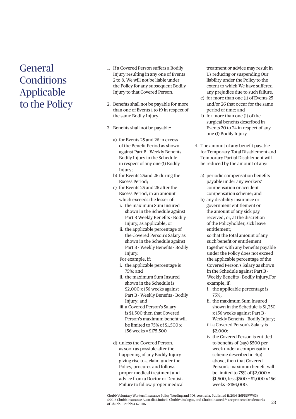## General **Conditions** Applicable to the Policy

- 1. If a Covered Person suffers a Bodily Injury resulting in any one of Events 2 to 8, We will not be liable under the Policy for any subsequent Bodily Injury to that Covered Person.
- 2. Benefits shall not be payable for more than one of Events 1 to 19 in respect of the same Bodily Injury.
- 3. Benefits shall not be payable:
	- a) for Events 25 and 26 in excess of the Benefit Period as shown against Part B - Weekly Benefits -Bodily Injury in the Schedule in respect of any one (1) Bodily Injury;
	- b) for Events 25and 26 during the Excess Period;
	- c) for Events 25 and 26 after the Excess Period, in an amount which exceeds the lesser of:
		- i. the maximum Sum Insured shown in the Schedule against Part B Weekly Benefits - Bodily Injury, as applicable, or
		- ii. the applicable percentage of the Covered Person's Salary as shown in the Schedule against Part B - Weekly Benefits - Bodily Injury.
		- For example, if:
		- i. the applicable percentage is 75%; and
		- ii. the maximum Sum Insured shown in the Schedule is \$2,000 x 156 weeks against Part B - Weekly Benefits - Bodily Injury; and
		- iii. a Covered Person's Salary is \$1,500 then that Covered Person's maximum benefit will be limited to 75% of \$1,500 x 156 weeks = \$175,500
	- d) unless the Covered Person, as soon as possible after the happening of any Bodily Injury giving rise to a claim under the Policy, procures and follows proper medical treatment and advice from a Doctor or Dentist. Failure to follow proper medical

treatment or advice may result in Us reducing or suspending Our liability under the Policy to the extent to which We have suffered any prejudice due to such failure.

- e) for more than one (1) of Events 25 and/or 26 that occur for the same period of time; and
- f) for more than one  $(1)$  of the surgical benefits described in Events 20 to 24 in respect of any one (1) Bodily Injury.
- 4. The amount of any benefit payable for Temporary Total Disablement and Temporary Partial Disablement will be reduced by the amount of any:
	- a) periodic compensation benefits payable under any workers' compensation or accident compensation scheme; and
	- b) any disability insurance or government entitlement or the amount of any sick pay received, or, at the discretion of the Policyholder, sick leave entitlement;

 so that the total amount of any such benefit or entitlement together with any benefits payable under the Policy does not exceed the applicable percentage of the Covered Person's Salary as shown in the Schedule against Part B - Weekly Benefits - Bodily Injury.For example, if:

- i. the applicable percentage is 75%;
- ii. the maximum Sum Insured shown in the Schedule is \$1,250 x 156 weeks against Part B - Weekly Benefits - Bodily Injury;
- iii. a Covered Person's Salary is \$2,000;
- iv. the Covered Person is entitled to benefits of (say) \$500 per week under a compensation scheme described in 4(a) above, then that Covered Person's maximum benefit will be limited to 75% of \$2,000 = \$1,500, less \$500 = \$1,000 x 156 weeks =\$156,000.

Chubb Voluntary Workers Insurance Policy Wording and PDS, Australia. Published 11/2016 (16PDSVW03) ©2016 Chubb Insurance Australia Limited. Chubb®, its logos, and Chubb.Insured.<sup>SM</sup> are protected trademarks of Chubb. Chubb14-67-1116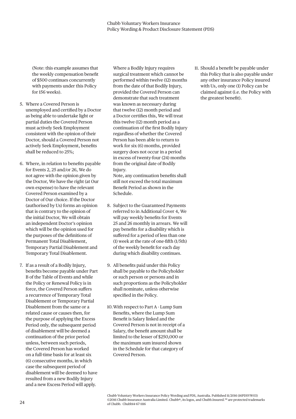(Note: this example assumes that the weekly compensation benefit of \$500 continues concurrently with payments under this Policy for 156 weeks).

- 5. Where a Covered Person is unemployed and certified by a Doctor as being able to undertake light or partial duties the Covered Person must actively Seek Employment consistent with the opinion of their Doctor, should a Covered Person not actively Seek Employment, benefits shall be reduced to 25%;
- 6. Where, in relation to benefits payable for Events 2, 25 and/or 26, We do not agree with the opinion given by the Doctor, We have the right (at Our own expense) to have the relevant Covered Person examined by a Doctor of Our choice. If the Doctor (authorised by Us) forms an opinion that is contrary to the opinion of the initial Doctor, We will obtain an independent Doctor's opinion which will be the opinion used for the purposes of the definitions of Permanent Total Disablement, Temporary Partial Disablement and Temporary Total Disablement.
- 7. If as a result of a Bodily Injury, benefits become payable under Part B of the Table of Events and while the Policy or Renewal Policy is in force, the Covered Person suffers a recurrence of Temporary Total Disablement or Temporary Partial Disablement from the same or a related cause or causes then, for the purpose of applying the Excess Period only, the subsequent period of disablement will be deemed a continuation of the prior period unless, between such periods, the Covered Person has worked on a full-time basis for at least six (6) consecutive months, in which case the subsequent period of disablement will be deemed to have resulted from a new Bodily Injury and a new Excess Period will apply.

 Where a Bodily Injury requires surgical treatment which cannot be performed within twelve (12) months from the date of that Bodily Injury, provided the Covered Person can demonstrate that such treatment was known as necessary during that twelve (12) month period and a Doctor certifies this, We will treat this twelve (12) month period as a continuation of the first Bodily Injury regardless of whether the Covered Person has been able to return to work for six (6) months, provided surgery does not occur in a period in excess of twenty-four (24) months from the original date of Bodily Injury.

Note, any continuation benefits shall still not exceed the total maximum Benefit Period as shown in the Schedule.

- 8. Subject to the Guaranteed Payments referred to in Additional Cover 4, We will pay weekly benefits for Events 25 and 26 monthly in arrears. We will pay benefits for a disability which is suffered for a period of less than one (1) week at the rate of one-fifth  $(1/5th)$ of the weekly benefit for each day during which disability continues.
- 9. All benefits paid under this Policy shall be payable to the Policyholder or such person or persons and in such proportions as the Policyholder shall nominate, unless otherwise specified in the Policy.
- 10. With respect to Part A Lump Sum Benefits, where the Lump Sum Benefit is Salary linked and the Covered Person is not in receipt of a Salary, the benefit amount shall be limited to the lesser of \$250,000 or the maximum sum insured shown in the Schedule for that category of Covered Person.

11. Should a benefit be payable under this Policy that is also payable under any other insurance Policy insured with Us, only one (1) Policy can be claimed against (i.e. the Policy with the greatest benefit).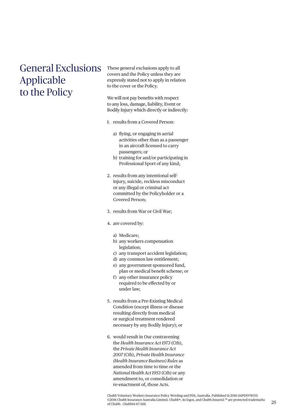## General Exclusions Applicable to the Policy

These general exclusions apply to all covers and the Policy unless they are expressly stated not to apply in relation to the cover or the Policy.

We will not pay benefits with respect to any loss, damage, liability, Event or Bodily Injury which directly or indirectly:

- 1. results from a Covered Person:
	- a) flying, or engaging in aerial activities other than as a passenger in an aircraft licensed to carry passengers; or
	- b) training for and/or participating in Professional Sport of any kind;
- 2. results from any intentional selfinjury, suicide, reckless misconduct or any illegal or criminal act committed by the Policyholder or a Covered Person;
- 3. results from War or Civil War;
- 4. are covered by:

#### a) Medicare;

- b) any workers compensation legislation;
- c) any transport accident legislation;
- d) any common law entitlement;
- e) any government sponsored fund, plan or medical benefit scheme; or
- f) any other insurance policy required to be effected by or under law;
- 5. results from a Pre-Existing Medical Condition (except illness or disease resulting directly from medical or surgical treatment rendered necessary by any Bodily Injury); or
- 6. would result in Our contravening the *Health Insurance Act 1973* (Cth), the *Private Health Insurance Act 2007* (Cth), *Private Health Insurance (Health Insurance Business) Rules* as amended from time to time or the *National Health Act 1953* (Cth) or any amendment to, or consolidation or re-enactment of, those Acts.

Chubb Voluntary Workers Insurance Policy Wording and PDS, Australia. Published 11/2016 (16PDSVW03) ©2016 Chubb Insurance Australia Limited. Chubb®, its logos, and Chubb.Insured.<sup>SM</sup> are protected trademarks of Chubb. Chubb14-67-1116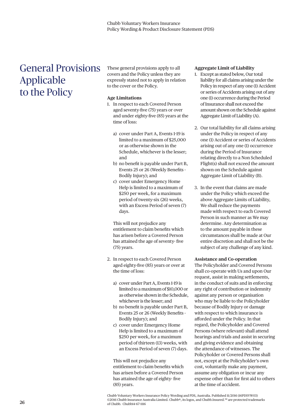## General Provisions Applicable to the Policy

These general provisions apply to all covers and the Policy unless they are expressly stated not to apply in relation to the cover or the Policy.

#### **Age Limitations**

- 1. In respect to each Covered Person aged seventy-five (75) years or over and under eighty-five (85) years at the time of loss:
	- a) cover under Part A, Events 1-19 is limited to a maximum of \$25,000 or as otherwise shown in the Schedule, whichever is the lesser; and
	- b) no benefit is payable under Part B, Events 25 or 26 (Weekly Benefits -Bodily Injury); and
	- c) cover under Emergency Home Help is limited to a maximum of \$250 per week, for a maximum period of twenty-six (26) weeks, with an Excess Period of seven (7) days.

 This will not prejudice any entitlement to claim benefits which has arisen before a Covered Person has attained the age of seventy-five (75) years.

- 2. In respect to each Covered Person aged eighty-five (85) years or over at the time of loss:
	- a) cover under Part A, Events 1-19 is limited to a maximum of \$10,000 or as otherwise shown in the Schedule, whichever is the lesser; and
	- b) no benefit is payable under Part B, Events 25 or 26 (Weekly Benefits -Bodily Injury); and
	- c) cover under Emergency Home Help is limited to a maximum of \$250 per week, for a maximum period of thirteen (13) weeks, with an Excess Period of seven (7) days.

 This will not prejudice any entitlement to claim benefits which has arisen before a Covered Person has attained the age of eighty-five (85) years.

#### **Aggregate Limit of Liability**

- 1. Except as stated below, Our total liability for all claims arising under the Policy in respect of any one (1) Accident or series of Accidents arising out of any one (1) occurrence during the Period of Insurance shall not exceed the amount shown on the Schedule against Aggregate Limit of Liability (A).
- 2. Our total liability for all claims arising under the Policy in respect of any one (1) Accident or series of Accidents arising out of any one (1) occurrence during the Period of Insurance relating directly to a Non Scheduled Flight(s) shall not exceed the amount shown on the Schedule against Aggregate Limit of Liability (B).
- 3. In the event that claims are made under the Policy which exceed the above Aggregate Limits of Liability, We shall reduce the payments made with respect to each Covered Person in such manner as We may determine. Any determination as to the amount payable in these circumstances shall be made at Our entire discretion and shall not be the subject of any challenge of any kind.

#### **Assistance and Co-operation**

The Policyholder and Covered Persons shall co-operate with Us and upon Our request, assist in making settlements, in the conduct of suits and in enforcing any right of contribution or indemnity against any person or organisation who may be liable to the Policyholder because of Bodily Injury or damage with respect to which insurance is afforded under the Policy. In that regard, the Policyholder and Covered Persons (where relevant) shall attend hearings and trials and assist in securing and giving evidence and obtaining the attendance of witnesses. The Policyholder or Covered Persons shall not, except at the Policyholder's own cost, voluntarily make any payment, assume any obligation or incur any expense other than for first aid to others at the time of accident.

Chubb Voluntary Workers Insurance Policy Wording and PDS, Australia. Published 11/2016 (16PDSVW03) ©2016 Chubb Insurance Australia Limited. Chubb®, its logos, and Chubb.Insured.<sup>SM</sup> are protected trademarks of Chubb. Chubb14-67-1116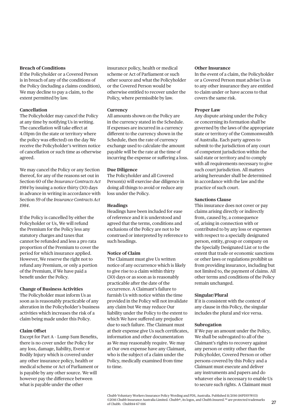If the Policyholder or a Covered Person is in breach of any of the conditions of the Policy (including a claims condition), We may decline to pay a claim, to the extent permitted by law.

#### **Cancellation**

The Policyholder may cancel the Policy at any time by notifying Us in writing. The cancellation will take effect at 4.01pm (in the state or territory where the policy was effected) on the day We receive the Policyholder's written notice of cancellation or such time as otherwise agreed.

We may cancel the Policy or any Section thereof, for any of the reasons set out in Section 60 of the *Insurance Contracts Act 1984* by issuing a notice thirty (30) days in advance in writing in accordance with Section 59 of the *Insurance Contracts Act 1984*.

**Breach of Conditions**<br> **Erhero For the Policyholes** or a formulation scheme or Act of Pa<br>
is in breach of any of the conditions of the control method in the Solicy (including a claims condition) or the Coveretal resulted If the Policy is cancelled by either the Policyholder or Us, We will refund the Premium for the Policy less any statutory charges and taxes that cannot be refunded and less a pro rata proportion of the Premium to cover the period for which insurance applied. However, We reserve the right not to refund any Premium, or only a portion of the Premium, if We have paid a benefit under the Policy.

#### **Change of Business Activities**

The Policyholder must inform Us as soon as is reasonably practicable of any alteration in the Policyholder's business activities which increases the risk of a claim being made under this Policy.

#### **Claim Offset**

Except for Part A - Lump Sum Benefits, there is no cover under the Policy for any loss, damage, liability, Event or Bodily Injury which is covered under any other insurance policy, health or medical scheme or Act of Parliament or is payable by any other source. We will however pay the difference between what is payable under the other

insurance policy, health or medical scheme or Act of Parliament or such other source and what the Policyholder or the Covered Person would be otherwise entitled to recover under the Policy, where permissible by law.

#### **Currency**

All amounts shown on the Policy are in the currency stated in the Schedule. If expenses are incurred in a currency different to the currency shown in the Schedule, then the rate of currency exchange used to calculate the amount payable will be the rate at the time of incurring the expense or suffering a loss.

#### **Due Diligence**

The Policyholder and all Covered Person(s) will exercise due diligence in doing all things to avoid or reduce any loss under the Policy.

#### **Headings**

Headings have been included for ease of reference and it is understood and agreed that the terms, conditions and exclusions of the Policy are not to be construed or interpreted by reference to such headings.

#### **Notice of Claim**

The Claimant must give Us written notice of any occurrence which is likely to give rise to a claim within thirty (30) days or as soon as is reasonably practicable after the date of the occurrence. A Claimant's failure to furnish Us with notice within the time provided in the Policy will not invalidate any claim but We may reduce Our liability under the Policy to the extent to which We have suffered any prejudice due to such failure. The Claimant must at their expense give Us such certificates, information and other documentation as We may reasonably require. We may at Our own expense have any Claimant, who is the subject of a claim under the Policy, medically examined from time to time.

#### **Other Insurance**

In the event of a claim, the Policyholder or a Covered Person must advise Us as to any other insurance they are entitled to claim under or have access to that covers the same risk.

#### **Proper Law**

Any dispute arising under the Policy or concerning its formation shall be governed by the laws of the appropriate state or territory of the Commonwealth of Australia. Each party agrees to submit to the jurisdiction of any court of competent jurisdiction within the said state or territory and to comply with all requirements necessary to give such court jurisdiction. All matters arising hereunder shall be determined in accordance with the law and the practice of such court.

#### **Sanctions Clause**

This insurance does not cover or pay claims arising directly or indirectly from, caused by, a consequence of, arising in connection with or contributed to by any loss or expenses with respect to a specially designated person, entity, group or company on the Specially Designated List or to the extent that trade or economic sanctions or other laws or regulations prohibit us from providing insurance, including but not limited to, the payment of claims. All other terms and conditions of the Policy remain unchanged.

#### **Singular/Plural**

If it is consistent with the context of any clause in this Policy, the singular includes the plural and vice versa.

#### **Subrogation**

If We pay an amount under the Policy, We shall be subrogated to all of the Claimant's rights to recovery against any person or entity other than the Policyholder, Covered Person or other persons covered by this Policy and a Claimant must execute and deliver any instruments and papers and do whatever else is necessary to enable Us to secure such rights. A Claimant must

Chubb Voluntary Workers Insurance Policy Wording and PDS, Australia. Published 11/2016 (16PDSVW03) ©2016 Chubb Insurance Australia Limited. Chubb®, its logos, and Chubb.Insured.<sup>SM</sup> are protected trademarks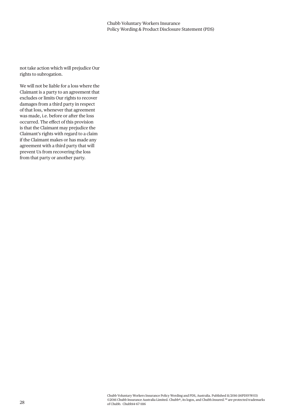not take action which will prejudice Our rights to subrogation.

We will not be liable for a loss where the Claimant is a party to an agreement that excludes or limits Our rights to recover damages from a third party in respect of that loss, whenever that agreement was made, i.e. before or after the loss occurred. The effect of this provision is that the Claimant may prejudice the Claimant's rights with regard to a claim if the Claimant makes or has made any agreement with a third party that will prevent Us from recovering the loss from that party or another party.